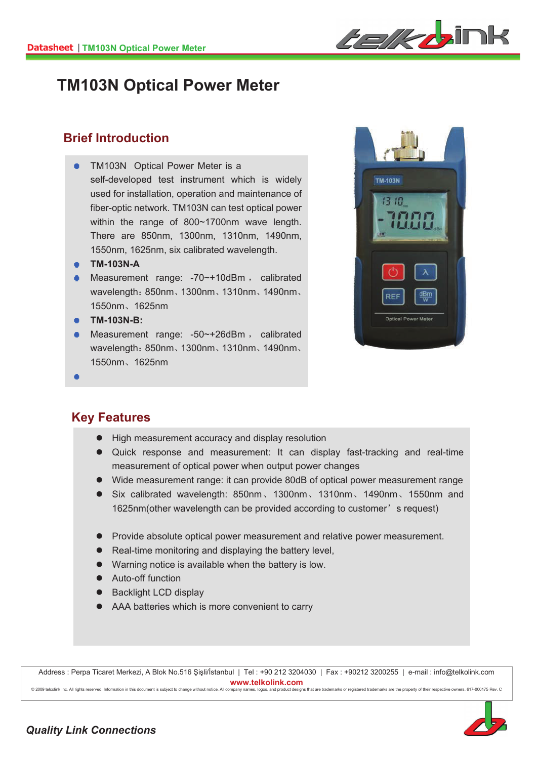

## **TM103N Optical Power Meter**

#### **Brief Introduction**

- TM103N Optical Power Meter is a self-developed test instrument which is widely used for installation, operation and maintenance of fiber-optic network. TM103N can test optical power within the range of 800~1700nm wave length. There are 850nm, 1300nm, 1310nm, 1490nm, 1550nm, 1625nm, six calibrated wavelength.
- **TM-103N-A**
- $\bullet$  Measurement range: -70 $\sim$ +10dBm, calibrated wavelength: 850nm, 1300nm, 1310nm, 1490nm, 1550nmǃ1625nm
- **TM-103N-B:**
- Measurement range:  $-50$   $-126$ dBm, calibrated wavelength: 850nm、1300nm、1310nm、1490nm、 1550nmǃ1625nm



#### **Key Features**

I,

- High measurement accuracy and display resolution
- Quick response and measurement: It can display fast-tracking and real-time measurement of optical power when output power changes
- Wide measurement range: it can provide 80dB of optical power measurement range
- Six calibrated wavelength: 850nm、1300nm、1310nm、1490nm、1550nm and 1625nm(other wavelength can be provided according to customer's request)
- Provide absolute optical power measurement and relative power measurement.
- $\bullet$  Real-time monitoring and displaying the battery level,
- $\bullet$  Warning notice is available when the battery is low.
- Auto-off function
- Backlight LCD display
- AAA batteries which is more convenient to carry

Address : Perpa Ticaret Merkezi, A Blok No.516 Şişli/İstanbul | Tel : +90 212 3204030 | Fax : +90212 3200255 | e-mail : info@telkolink.com www.telkolink.com

@ 2009 telcolink Inc. All rights reserved. Information in this document is subject to change without notice. All company names, logos, and product designs that are trademarks or registered trademarks are the property of th

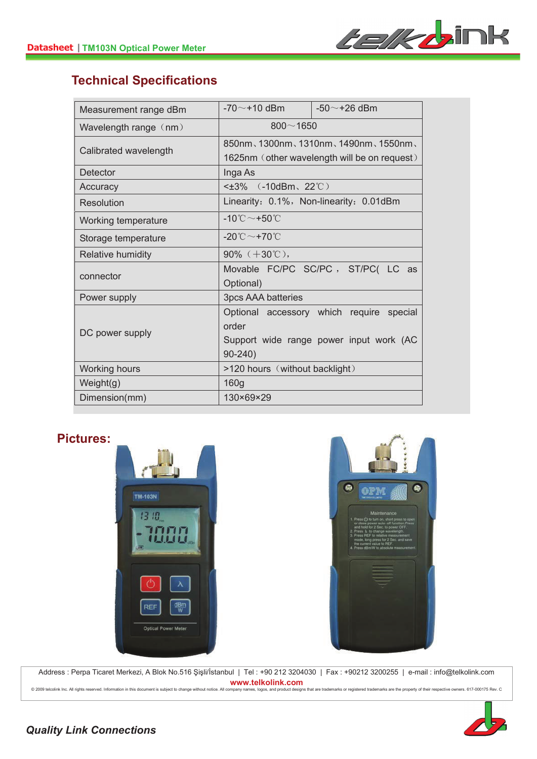

### **Technical Specifications**

| Measurement range dBm | -70 $\sim$ +10 dBm                                | $-50$ $\sim$ +26 dBm                     |  |
|-----------------------|---------------------------------------------------|------------------------------------------|--|
| Wavelength range (nm) | $800 - 1650$                                      |                                          |  |
| Calibrated wavelength | 850nm, 1300nm, 1310nm, 1490nm, 1550nm,            |                                          |  |
|                       | 1625nm (other wavelength will be on request)      |                                          |  |
| Detector              | Inga As                                           |                                          |  |
| Accuracy              | < $±3\%$ (-10dBm, 22°°C)                          |                                          |  |
| Resolution            | Linearity: 0.1%, Non-linearity: 0.01dBm           |                                          |  |
| Working temperature   | -10 $^\circ\text{C}\!\sim$ +50 $^\circ\!\text{C}$ |                                          |  |
| Storage temperature   | -20 $^\circ\text{C}\!\sim$ +70 $^\circ\text{C}$   |                                          |  |
| Relative humidity     | $90\%$ ( $+30\degree$ ),                          |                                          |  |
| connector             |                                                   | Movable FC/PC SC/PC, ST/PC( LC as        |  |
|                       | Optional)                                         |                                          |  |
| Power supply          | 3pcs AAA batteries                                |                                          |  |
| DC power supply       |                                                   | Optional accessory which require special |  |
|                       | order                                             |                                          |  |
|                       |                                                   | Support wide range power input work (AC  |  |
|                       | $90 - 240$                                        |                                          |  |
| Working hours         | >120 hours (without backlight)                    |                                          |  |
| Weight(g)             | 160g                                              |                                          |  |
| Dimension(mm)         | 130×69×29                                         |                                          |  |

#### **Pictures:**





Address : Perpa Ticaret Merkezi, A Blok No.516 Şişli/İstanbul | Tel : +90 212 3204030 | Fax : +90212 3200255 | e-mail : info@telkolink.com www.telkolink.com

@ 2009 telcolink Inc. All rights reserved. Information in this document is subject to change without notice. All company names, logos, and product designs that are trademarks or registered trademarks are the property of th